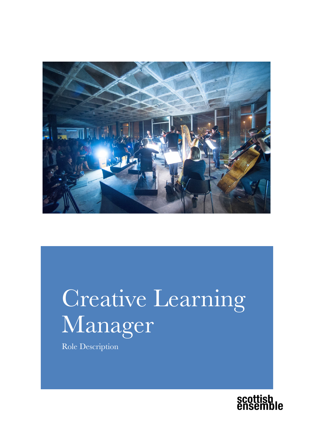

# Creative Learning Manager

Role Description

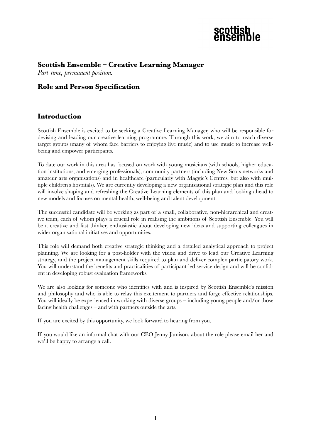

#### **Scottish Ensemble – Creative Learning Manager**

*Part-time, permanent position.*

#### **Role and Person Specification**

#### **Introduction**

Scottish Ensemble is excited to be seeking a Creative Learning Manager, who will be responsible for devising and leading our creative learning programme. Through this work, we aim to reach diverse target groups (many of whom face barriers to enjoying live music) and to use music to increase wellbeing and empower participants.

To date our work in this area has focused on work with young musicians (with schools, higher education institutions, and emerging professionals), community partners (including New Scots networks and amateur arts organisations) and in healthcare (particularly with Maggie's Centres, but also with multiple children's hospitals). We are currently developing a new organisational strategic plan and this role will involve shaping and refreshing the Creative Learning elements of this plan and looking ahead to new models and focuses on mental health, well-being and talent development.

The successful candidate will be working as part of a small, collaborative, non-hierarchical and creative team, each of whom plays a crucial role in realising the ambitions of Scottish Ensemble. You will be a creative and fast thinker, enthusiastic about developing new ideas and supporting colleagues in wider organisational initiatives and opportunities.

This role will demand both creative strategic thinking and a detailed analytical approach to project planning. We are looking for a post-holder with the vision and drive to lead our Creative Learning strategy, and the project management skills required to plan and deliver complex participatory work. You will understand the benefits and practicalities of participant-led service design and will be confident in developing robust evaluation frameworks.

We are also looking for someone who identifies with and is inspired by Scottish Ensemble's mission and philosophy and who is able to relay this excitement to partners and forge effective relationships. You will ideally be experienced in working with diverse groups – including young people and/or those facing health challenges – and with partners outside the arts.

If you are excited by this opportunity, we look forward to hearing from you.

If you would like an informal chat with our CEO Jenny Jamison, about the role please email her and we'll be happy to arrange a call.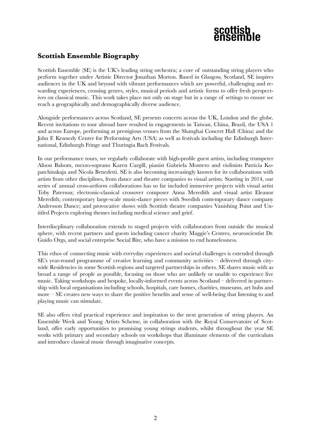#### **Scottish Ensemble Biography**

Scottish Ensemble (SE) is the UK's leading string orchestra; a core of outstanding string players who perform together under Artistic Director Jonathan Morton. Based in Glasgow, Scotland, SE inspires audiences in the UK and beyond with vibrant performances which are powerful, challenging and rewarding experiences, crossing genres, styles, musical periods and artistic forms to offer fresh perspectives on classical music. This work takes place not only on stage but in a range of settings to ensure we reach a geographically and demographically diverse audience.

Alongside performances across Scotland, SE presents concerts across the UK, London and the globe. Recent invitations to tour abroad have resulted in engagements in Taiwan, China, Brazil, the USA 1 and across Europe, performing at prestigious venues from the Shanghai Concert Hall (China) and the John F. Kennedy Center for Performing Arts (USA) as well as festivals including the Edinburgh International, Edinburgh Fringe and Thuringia Bach Festivals.

In our performance tours, we regularly collaborate with high-profile guest artists, including trumpeter Alison Balsom, mezzo-soprano Karen Cargill, pianist Gabriela Montero and violinists Patricia Kopatchinskaja and Nicola Benedetti. SE is also becoming increasingly known for its collaborations with artists from other disciplines, from dance and theatre companies to visual artists. Starting in 2014, our series of annual cross-artform collaborations has so far included immersive projects with visual artist Toby Paterson; electronic-classical crossover composer Anna Meredith and visual artist Eleanor Meredith; contemporary large-scale music-dance pieces with Swedish contemporary dance company Andersson Dance; and provocative shows with Scottish theatre companies Vanishing Point and Untitled Projects exploring themes including medical science and grief.

Interdiscplinary collaboration extends to staged projects with collaborators from outside the musical sphere, with recent partners and guests including cancer charity Maggie's Centres, neuroscientist Dr. Guido Orgs, and social entreprise Social Bite, who have a mission to end homelessness.

This ethos of connecting music with everyday experiences and societal challenges is extended through SE's year-round programme of creative learning and community activities – delivered through citywide Residencies in some Scottish regions and targeted partnerships in others. SE shares music with as broad a range of people as possible, focusing on those who are unlikely or unable to experience live music. Taking workshops and bespoke, locally-informed events across Scotland – delivered in partnership with local organisations including schools, hospitals, care homes, charities, museums, art hubs and more – SE creates new ways to share the positive benefits and sense of well-being that listening to and playing music can stimulate.

SE also offers vital practical experience and inspiration to the next generation of string players. An Ensemble Week and Young Artists Scheme, in collaboration with the Royal Conservatoire of Scotland, offer early opportunities to promising young strings students, whilst throughout the year SE works with primary and secondary schools on workshops that illuminate elements of the curriculum and introduce classical music through imaginative concepts.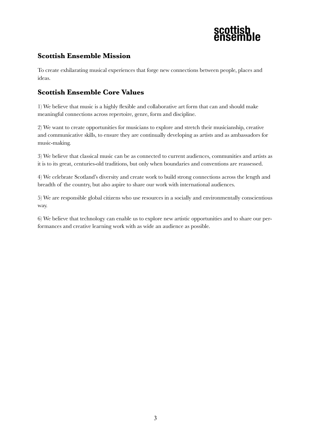

#### **Scottish Ensemble Mission**

To create exhilarating musical experiences that forge new connections between people, places and ideas.

#### **Scottish Ensemble Core Values**

1) We believe that music is a highly flexible and collaborative art form that can and should make meaningful connections across repertoire, genre, form and discipline.

2) We want to create opportunities for musicians to explore and stretch their musicianship, creative and communicative skills, to ensure they are continually developing as artists and as ambassadors for music-making.

3) We believe that classical music can be as connected to current audiences, communities and artists as it is to its great, centuries-old traditions, but only when boundaries and conventions are reassessed.

4) We celebrate Scotland's diversity and create work to build strong connections across the length and breadth of the country, but also aspire to share our work with international audiences.

5) We are responsible global citizens who use resources in a socially and environmentally conscientious way.

6) We believe that technology can enable us to explore new artistic opportunities and to share our performances and creative learning work with as wide an audience as possible.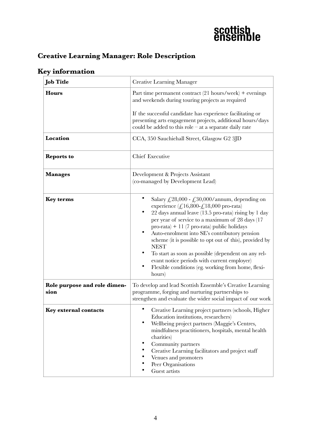#### **Creative Learning Manager: Role Description**

#### **Job Title** Creative Learning Manager **Hours** Part time permanent contract (21 hours/week) + evenings and weekends during touring projects as required If the successful candidate has experience facilitating or presenting arts engagement projects, additional hours/days could be added to this role  $-$  at a separate daily rate **Location** CCA, 350 Sauchiehall Street, Glasgow G2 3JD **Reports to** Chief Executive **Manages Development & Projects Assistant** (co-managed by Development Lead) **Key terms** • Salary  $f_{28,000}$  -  $f_{30,000/annum}$ , depending on experience  $(\text{\textsterling}.16,800-\text{\textsterling}.18,000)$  pro-rata) • 22 days annual leave (13.5 pro-rata) rising by 1 day per year of service to a maximum of 28 days (17 pro-rata) + 11 (7 pro-rata) public holidays • Auto-enrolment into SE's contributory pension scheme (it is possible to opt out of this), provided by **NEST** • To start as soon as possible (dependent on any relevant notice periods with current employer) • Flexible conditions (eg. working from home, flexihours) **Role purpose and role dimension** To develop and lead Scottish Ensemble's Creative Learning programme, forging and nurturing partnerships to strengthen and evaluate the wider social impact of our work **Key external contacts** • Creative Learning project partners (schools, Higher Education institutions, researchers) • Wellbeing project partners (Maggie's Centres, mindfulness practitioners, hospitals, mental health charities) • Community partners • Creative Learning facilitators and project staff • Venues and promoters Peer Organisations Guest artists

#### **Key information**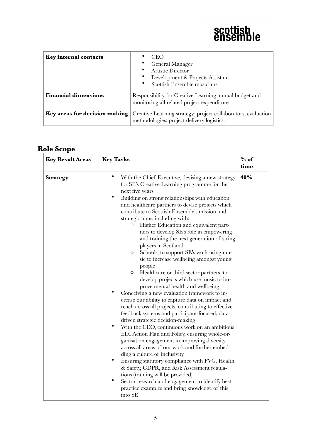

| Key internal contacts         | <b>CEO</b><br>General Manager<br>Artistic Director<br>Development & Projects Assistant<br>Scottish Ensemble musicians |
|-------------------------------|-----------------------------------------------------------------------------------------------------------------------|
| <b>Financial dimensions</b>   | Responsibility for Creative Learning annual budget and<br>monitoring all related project expenditure.                 |
| Key areas for decision making | Creative Learning strategy; project collaborators; evaluation<br>methodologies; project delivery logistics.           |

### **Role Scope**

| <b>Key Result Areas</b> | <b>Key Tasks</b>                                                                                                                                                                                                                                                                                                                                                                                                                                                                                                                                                                                                                                                                                                                                                                                                                                                                                                                                                                                                                                                                                                                                                                                                                                                                                                                                                                                                                                                                                                                                     | $%$ of<br>time |
|-------------------------|------------------------------------------------------------------------------------------------------------------------------------------------------------------------------------------------------------------------------------------------------------------------------------------------------------------------------------------------------------------------------------------------------------------------------------------------------------------------------------------------------------------------------------------------------------------------------------------------------------------------------------------------------------------------------------------------------------------------------------------------------------------------------------------------------------------------------------------------------------------------------------------------------------------------------------------------------------------------------------------------------------------------------------------------------------------------------------------------------------------------------------------------------------------------------------------------------------------------------------------------------------------------------------------------------------------------------------------------------------------------------------------------------------------------------------------------------------------------------------------------------------------------------------------------------|----------------|
| <b>Strategy</b>         | $\bullet$<br>With the Chief Executive, devising a new strategy<br>for SE's Creative Learning programme for the<br>next five years<br>$\bullet$<br>Building on strong relationships with education<br>and healthcare partners to devise projects which<br>contribute to Scottish Ensemble's mission and<br>strategic aims, including with;<br>Higher Education and equivalent part-<br>$\circ$<br>ners to develop SE's role in empowering<br>and training the next generation of string<br>players in Scotland<br>Schools, to support SE's work using mu-<br>$\circ$<br>sic to increase wellbeing amongst young<br>people<br>Healthcare or third sector partners, to<br>$\circ$<br>develop projects which use music to im-<br>prove mental health and wellbeing<br>Conceiving a new evaluation framework to in-<br>crease our ability to capture data on impact and<br>reach across all projects, contributing to effective<br>feedback systems and participant-focused, data-<br>driven strategic decision-making<br>$\bullet$<br>With the CEO, continuous work on an ambitious<br>EDI Action Plan and Policy, ensuring whole-or-<br>ganisation engagement in improving diversity<br>across all areas of our work and further embed-<br>ding a culture of inclusivity<br>$\bullet$<br>Ensuring statutory compliance with PVG, Health<br>& Safety, GDPR, and Risk Assessment regula-<br>tions (training will be provided)<br>$\bullet$<br>Sector research and engagement to identify best<br>practice examples and bring knowledge of this<br>into SE | 40%            |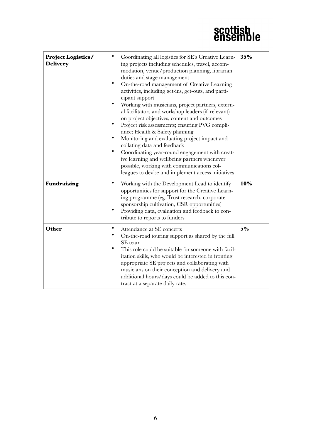## scottish<br>ensemble

| <b>Project Logistics/</b><br><b>Delivery</b> | Coordinating all logistics for SE's Creative Learn-<br>ing projects including schedules, travel, accom-<br>modation, venue/production planning, librarian<br>duties and stage management<br>On-the-road management of Creative Learning<br>activities, including get-ins, get-outs, and parti-<br>cipant support<br>$\bullet$<br>Working with musicians, project partners, extern-<br>al facilitators and workshop leaders (if relevant)<br>on project objectives, content and outcomes<br>Project risk assessments; ensuring PVG compli-<br>ance; Health & Safety planning<br>Monitoring and evaluating project impact and<br>collating data and feedback<br>$\bullet$<br>Coordinating year-round engagement with creat-<br>ive learning and wellbeing partners whenever<br>possible, working with communications col-<br>leagues to devise and implement access initiatives | 35%   |
|----------------------------------------------|-------------------------------------------------------------------------------------------------------------------------------------------------------------------------------------------------------------------------------------------------------------------------------------------------------------------------------------------------------------------------------------------------------------------------------------------------------------------------------------------------------------------------------------------------------------------------------------------------------------------------------------------------------------------------------------------------------------------------------------------------------------------------------------------------------------------------------------------------------------------------------|-------|
| <b>Fundraising</b>                           | Working with the Development Lead to identify<br>opportunities for support for the Creative Learn-<br>ing programme (eg. Trust research, corporate<br>sponsorship cultivation, CSR opportunities)<br>Providing data, evaluation and feedback to con-<br>tribute to reports to funders                                                                                                                                                                                                                                                                                                                                                                                                                                                                                                                                                                                         | 10%   |
| Other                                        | Attendance at SE concerts<br>On-the-road touring support as shared by the full<br>SE team<br>This role could be suitable for someone with facil-<br>itation skills, who would be interested in fronting<br>appropriate SE projects and collaborating with<br>musicians on their conception and delivery and<br>additional hours/days could be added to this con-<br>tract at a separate daily rate.                                                                                                                                                                                                                                                                                                                                                                                                                                                                           | $5\%$ |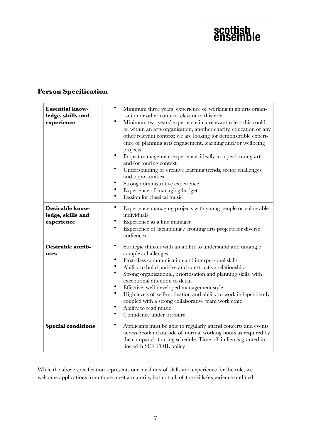## scottish<br>ensemble

### **Person Specification**

| <b>Essential know-</b><br>ledge, skills and<br>experience | $\bullet$<br>Minimum three years' experience of working in an arts organ-<br>isation or other context relevant to this role.<br>$\bullet$<br>Minimum two years' experience in a relevant role $-$ this could<br>be within an arts organisation, another charity, education or any<br>other relevant context; we are looking for demonstrable experi-<br>ence of planning arts engagement, learning and/or wellbeing<br>projects<br>$\bullet$<br>Project management experience, ideally in a performing arts<br>and/or touring context<br>$\bullet$<br>Understanding of creative learning trends, sector challenges,<br>and opportunities<br>Strong administrative experience<br>٠<br>Experience of managing budgets<br>$\bullet$<br>Passion for classical music |
|-----------------------------------------------------------|-----------------------------------------------------------------------------------------------------------------------------------------------------------------------------------------------------------------------------------------------------------------------------------------------------------------------------------------------------------------------------------------------------------------------------------------------------------------------------------------------------------------------------------------------------------------------------------------------------------------------------------------------------------------------------------------------------------------------------------------------------------------|
| <b>Desirable know-</b><br>ledge, skills and<br>experience | ٠<br>Experience managing projects with young people or vulnerable<br>individuals<br>Experience as a line manager<br>٠<br>Experience of facilitating / fronting arts projects for diverse<br>audiences                                                                                                                                                                                                                                                                                                                                                                                                                                                                                                                                                           |
| Desirable attrib-<br>utes                                 | $\bullet$<br>Strategic thinker with an ability to understand and untangle<br>complex challenges<br>٠<br>First-class communication and interpersonal skills<br>٠<br>Ability to build positive and constructive relationships<br>$\bullet$<br>Strong organisational, prioritisation and planning skills, with<br>exceptional attention to detail<br>$\bullet$<br>Effective, well-developed management style<br>$\bullet$<br>High levels of self-motivation and ability to work independently<br>coupled with a strong collaborative team work ethic<br>Ability to read music<br>٠<br>Confidence under pressure                                                                                                                                                    |
| <b>Special conditions</b>                                 | $\bullet$<br>Applicants must be able to regularly attend concerts and events<br>across Scotland outside of normal working hours as required by<br>the company's touring schedule. Time off in lieu is granted in<br>line with SE's TOIL policy.                                                                                                                                                                                                                                                                                                                                                                                                                                                                                                                 |

While the above specification represents our ideal mix of skills and experience for the role, we welcome applications from those meet a majority, but not all, of the skills/experience outlined.